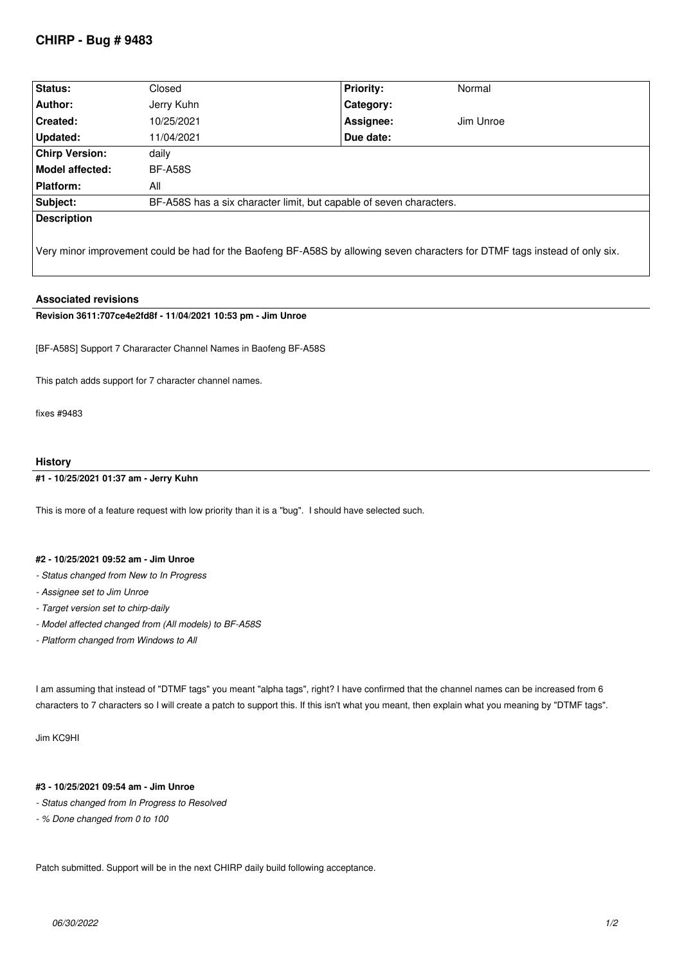# **CHIRP - Bug # 9483**

| Status:               | Closed                                                              | <b>Priority:</b> | Normal    |
|-----------------------|---------------------------------------------------------------------|------------------|-----------|
| Author:               | Jerry Kuhn                                                          | Category:        |           |
| <b>Created:</b>       | 10/25/2021                                                          | Assignee:        | Jim Unroe |
| Updated:              | 11/04/2021                                                          | Due date:        |           |
| <b>Chirp Version:</b> | daily                                                               |                  |           |
| Model affected:       | <b>BF-A58S</b>                                                      |                  |           |
| Platform:             | All                                                                 |                  |           |
| Subject:              | BF-A58S has a six character limit, but capable of seven characters. |                  |           |
| <b>Description</b>    |                                                                     |                  |           |

*Very minor improvement could be had for the Baofeng BF-A58S by allowing seven characters for DTMF tags instead of only six.*

## **Associated revisions**

**Revision 3611:707ce4e2fd8f - 11/04/2021 10:53 pm - Jim Unroe** 

*[BF-A58S] Support 7 Chararacter Channel Names in Baofeng BF-A58S*

*This patch adds support for 7 character channel names.*

*fixes #9483*

### **History**

#### **#1 - 10/25/2021 01:37 am - Jerry Kuhn**

*This is more of a feature request with low priority than it is a "bug". I should have selected such.*

### **#2 - 10/25/2021 09:52 am - Jim Unroe**

- *Status changed from New to In Progress*
- *Assignee set to Jim Unroe*
- *Target version set to chirp-daily*
- *Model affected changed from (All models) to BF-A58S*
- *Platform changed from Windows to All*

*I am assuming that instead of "DTMF tags" you meant "alpha tags", right? I have confirmed that the channel names can be increased from 6 characters to 7 characters so I will create a patch to support this. If this isn't what you meant, then explain what you meaning by "DTMF tags".*

*Jim KC9HI*

## **#3 - 10/25/2021 09:54 am - Jim Unroe**

- *Status changed from In Progress to Resolved*
- *% Done changed from 0 to 100*

*Patch submitted. Support will be in the next CHIRP daily build following acceptance.*